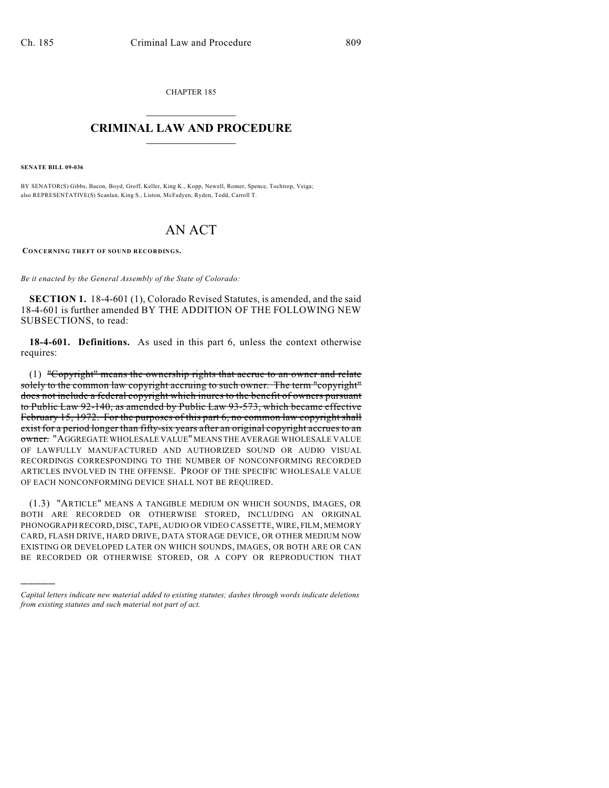CHAPTER 185  $\overline{\phantom{a}}$  . The set of the set of the set of the set of the set of the set of the set of the set of the set of the set of the set of the set of the set of the set of the set of the set of the set of the set of the set o

## **CRIMINAL LAW AND PROCEDURE**  $\frac{1}{2}$  ,  $\frac{1}{2}$  ,  $\frac{1}{2}$  ,  $\frac{1}{2}$  ,  $\frac{1}{2}$  ,  $\frac{1}{2}$  ,  $\frac{1}{2}$

**SENATE BILL 09-036**

)))))

BY SENATOR(S) Gibbs, Bacon, Boyd, Groff, Keller, King K., Kopp, Newell, Romer, Spence, Tochtrop, Veiga; also REPRESENTATIVE(S) Scanlan, King S., Liston, McFadyen, Ryden, Todd, Carroll T.

## AN ACT

**CONCERNING THEFT OF SOUND RECORDINGS.**

*Be it enacted by the General Assembly of the State of Colorado:*

**SECTION 1.** 18-4-601 (1), Colorado Revised Statutes, is amended, and the said 18-4-601 is further amended BY THE ADDITION OF THE FOLLOWING NEW SUBSECTIONS, to read:

**18-4-601. Definitions.** As used in this part 6, unless the context otherwise requires:

(1) "Copyright" means the ownership rights that accrue to an owner and relate solely to the common law copyright accruing to such owner. The term "copyright" does not include a federal copyright which inures to the benefit of owners pursuant to Public Law 92-140, as amended by Public Law 93-573, which became effective February 15, 1972. For the purposes of this part 6, no common law copyright shall exist for a period longer than fifty-six years after an original copyright accrues to an owner. "AGGREGATE WHOLESALE VALUE" MEANS THE AVERAGE WHOLESALE VALUE OF LAWFULLY MANUFACTURED AND AUTHORIZED SOUND OR AUDIO VISUAL RECORDINGS CORRESPONDING TO THE NUMBER OF NONCONFORMING RECORDED ARTICLES INVOLVED IN THE OFFENSE. PROOF OF THE SPECIFIC WHOLESALE VALUE OF EACH NONCONFORMING DEVICE SHALL NOT BE REQUIRED.

(1.3) "ARTICLE" MEANS A TANGIBLE MEDIUM ON WHICH SOUNDS, IMAGES, OR BOTH ARE RECORDED OR OTHERWISE STORED, INCLUDING AN ORIGINAL PHONOGRAPH RECORD, DISC, TAPE, AUDIO OR VIDEO CASSETTE, WIRE, FILM, MEMORY CARD, FLASH DRIVE, HARD DRIVE, DATA STORAGE DEVICE, OR OTHER MEDIUM NOW EXISTING OR DEVELOPED LATER ON WHICH SOUNDS, IMAGES, OR BOTH ARE OR CAN BE RECORDED OR OTHERWISE STORED, OR A COPY OR REPRODUCTION THAT

*Capital letters indicate new material added to existing statutes; dashes through words indicate deletions from existing statutes and such material not part of act.*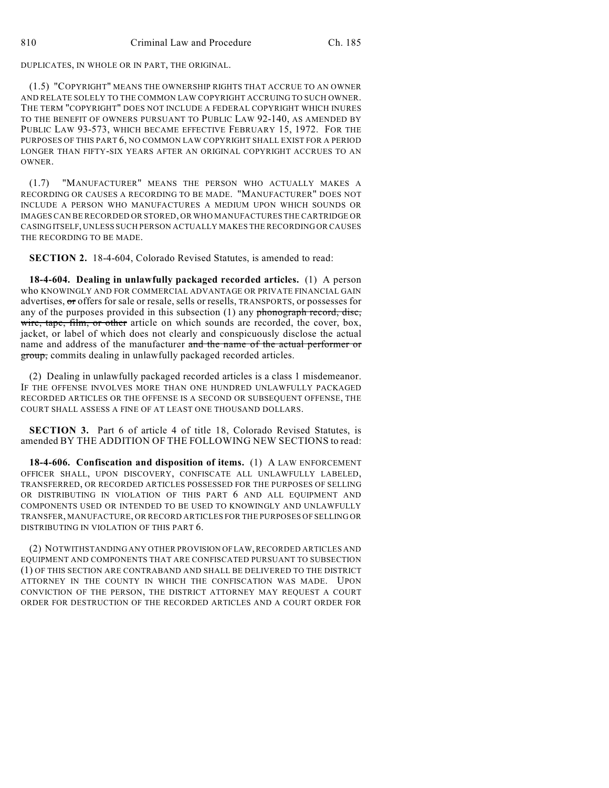DUPLICATES, IN WHOLE OR IN PART, THE ORIGINAL.

(1.5) "COPYRIGHT" MEANS THE OWNERSHIP RIGHTS THAT ACCRUE TO AN OWNER AND RELATE SOLELY TO THE COMMON LAW COPYRIGHT ACCRUING TO SUCH OWNER. THE TERM "COPYRIGHT" DOES NOT INCLUDE A FEDERAL COPYRIGHT WHICH INURES TO THE BENEFIT OF OWNERS PURSUANT TO PUBLIC LAW 92-140, AS AMENDED BY PUBLIC LAW 93-573, WHICH BECAME EFFECTIVE FEBRUARY 15, 1972. FOR THE PURPOSES OF THIS PART 6, NO COMMON LAW COPYRIGHT SHALL EXIST FOR A PERIOD LONGER THAN FIFTY-SIX YEARS AFTER AN ORIGINAL COPYRIGHT ACCRUES TO AN OWNER.

(1.7) "MANUFACTURER" MEANS THE PERSON WHO ACTUALLY MAKES A RECORDING OR CAUSES A RECORDING TO BE MADE. "MANUFACTURER" DOES NOT INCLUDE A PERSON WHO MANUFACTURES A MEDIUM UPON WHICH SOUNDS OR IMAGES CAN BE RECORDED OR STORED, OR WHO MANUFACTURES THE CARTRIDGE OR CASING ITSELF, UNLESS SUCH PERSON ACTUALLY MAKES THE RECORDING OR CAUSES THE RECORDING TO BE MADE.

**SECTION 2.** 18-4-604, Colorado Revised Statutes, is amended to read:

**18-4-604. Dealing in unlawfully packaged recorded articles.** (1) A person who KNOWINGLY AND FOR COMMERCIAL ADVANTAGE OR PRIVATE FINANCIAL GAIN advertises, or offers for sale or resale, sells or resells, TRANSPORTS, or possesses for any of the purposes provided in this subsection  $(1)$  any phonograph record, disc, wire, tape, film, or other article on which sounds are recorded, the cover, box, jacket, or label of which does not clearly and conspicuously disclose the actual name and address of the manufacturer and the name of the actual performer or group, commits dealing in unlawfully packaged recorded articles.

(2) Dealing in unlawfully packaged recorded articles is a class 1 misdemeanor. IF THE OFFENSE INVOLVES MORE THAN ONE HUNDRED UNLAWFULLY PACKAGED RECORDED ARTICLES OR THE OFFENSE IS A SECOND OR SUBSEQUENT OFFENSE, THE COURT SHALL ASSESS A FINE OF AT LEAST ONE THOUSAND DOLLARS.

**SECTION 3.** Part 6 of article 4 of title 18, Colorado Revised Statutes, is amended BY THE ADDITION OF THE FOLLOWING NEW SECTIONS to read:

**18-4-606. Confiscation and disposition of items.** (1) A LAW ENFORCEMENT OFFICER SHALL, UPON DISCOVERY, CONFISCATE ALL UNLAWFULLY LABELED, TRANSFERRED, OR RECORDED ARTICLES POSSESSED FOR THE PURPOSES OF SELLING OR DISTRIBUTING IN VIOLATION OF THIS PART 6 AND ALL EQUIPMENT AND COMPONENTS USED OR INTENDED TO BE USED TO KNOWINGLY AND UNLAWFULLY TRANSFER, MANUFACTURE, OR RECORD ARTICLES FOR THE PURPOSES OF SELLING OR DISTRIBUTING IN VIOLATION OF THIS PART 6.

(2) NOTWITHSTANDING ANY OTHER PROVISION OF LAW, RECORDED ARTICLES AND EQUIPMENT AND COMPONENTS THAT ARE CONFISCATED PURSUANT TO SUBSECTION (1) OF THIS SECTION ARE CONTRABAND AND SHALL BE DELIVERED TO THE DISTRICT ATTORNEY IN THE COUNTY IN WHICH THE CONFISCATION WAS MADE. UPON CONVICTION OF THE PERSON, THE DISTRICT ATTORNEY MAY REQUEST A COURT ORDER FOR DESTRUCTION OF THE RECORDED ARTICLES AND A COURT ORDER FOR